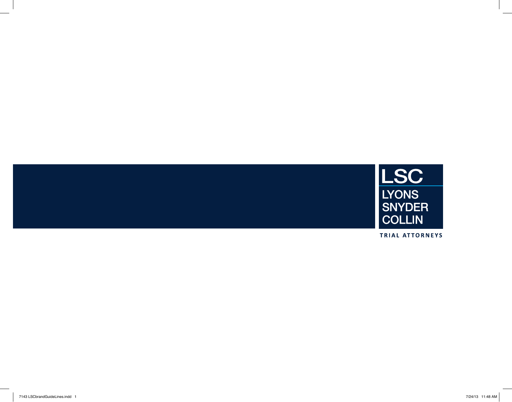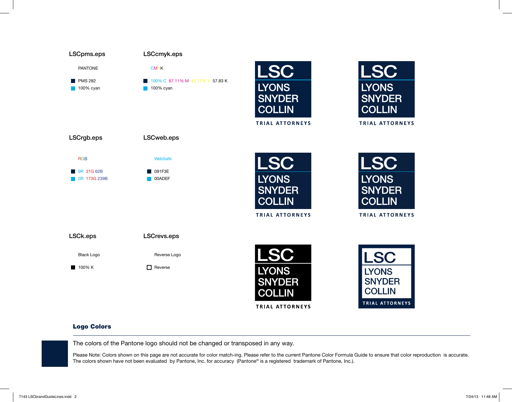

**TRIAL ATTORNEYS** 

# **TRIAL ATTORNEYS**

#### Logo Colors

The colors of the Pantone logo should not be changed or transposed in any way.

Please Note: Colors shown on this page are not accurate for color match-ing. Please refer to the current Pantone Color Formula Guide to ensure that color reproduction is accurate. The colors shown have not been evaluated by Pantone, Inc. for accuracy (Pantone® is a registered trademark of Pantone, Inc.).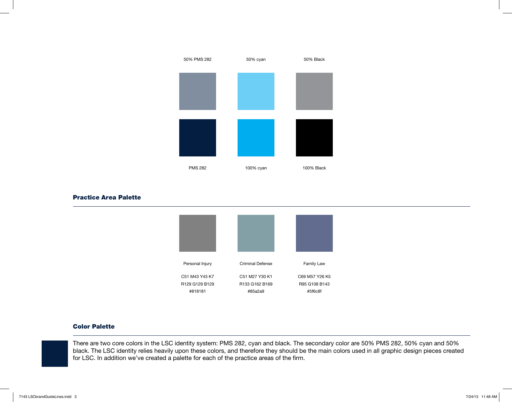# PMS 282 50% PMS 282 100% cyan 50% cyan 100% Black 50% Black

#### Practice Area Palette



#### Color Palette

There are two core colors in the LSC identity system: PMS 282, cyan and black. The secondary color are 50% PMS 282, 50% cyan and 50% black. The LSC identity relies heavily upon these colors, and therefore they should be the main colors used in all graphic design pieces created for LSC. In addition we've created a palette for each of the practice areas of the firm.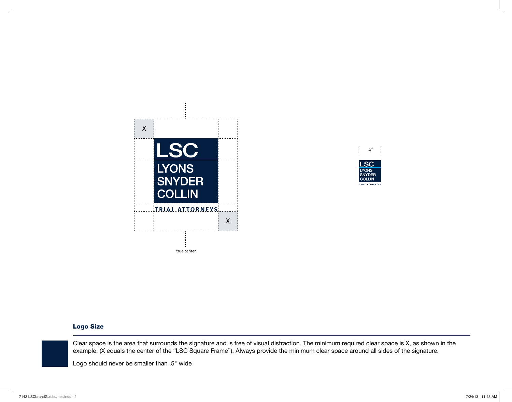



# Logo Size

Clear space is the area that surrounds the signature and is free of visual distraction. The minimum required clear space is X, as shown in the example. (X equals the center of the "LSC Square Frame"). Always provide the minimum clear space around all sides of the signature.

Logo should never be smaller than .5" wide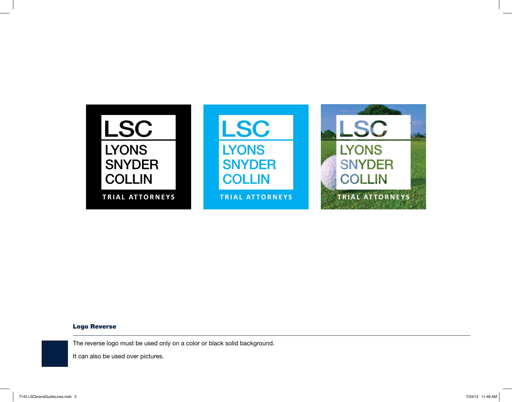

# Logo Reverse

The reverse logo must be used only on a color or black solid background.

It can also be used over pictures.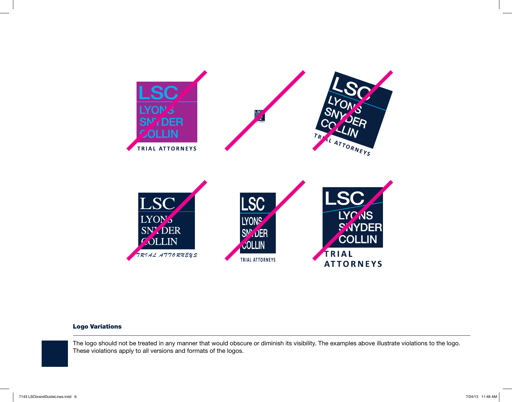

#### Logo Variations

The logo should not be treated in any manner that would obscure or diminish its visibility. The examples above illustrate violations to the logo. These violations apply to all versions and formats of the logos.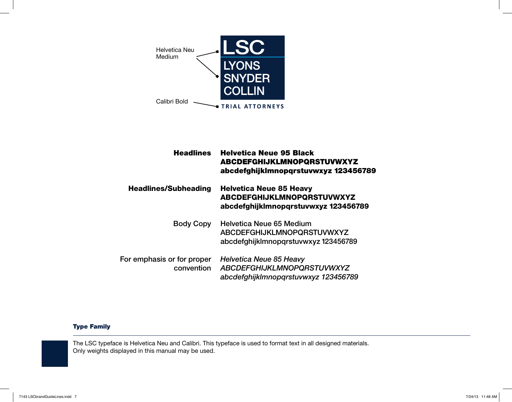

| <b>Headlines</b>                         | <b>Helvetica Neue 95 Black</b><br><b>ABCDEFGHIJKLMNOPQRSTUVWXYZ</b><br>abcdefghijklmnopgrstuvwxyz 123456789  |
|------------------------------------------|--------------------------------------------------------------------------------------------------------------|
| <b>Headlines/Subheading</b>              | <b>Helvetica Neue 85 Heavy</b><br>ABCDEFGHIJKLMNOPQRSTUVWXYZ<br>abcdefghijklmnopqrstuvwxyz 123456789         |
| <b>Body Copy</b>                         | <b>Helvetica Neue 65 Medium</b><br><b>ABCDEFGHIJKLMNOPQRSTUVWXYZ</b><br>abcdefghijklmnopgrstuvwxyz 123456789 |
| For emphasis or for proper<br>convention | Helvetica Neue 85 Heavy<br><b>ABCDEFGHIJKLMNOPQRSTUVWXYZ</b><br>abcdefghijklmnopqrstuvwxyz 123456789         |

# Type Family

The LSC typeface is Helvetica Neu and Calibri. This typeface is used to format text in all designed materials. Only weights displayed in this manual may be used.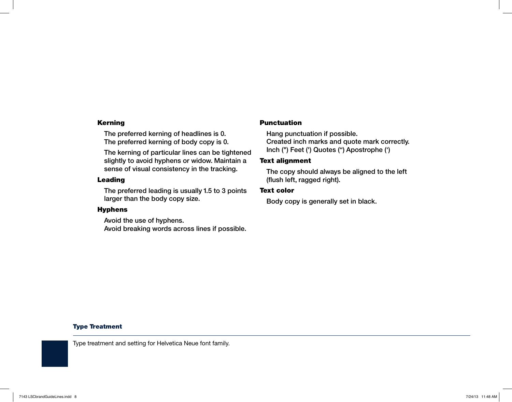#### Kerning

The preferred kerning of headlines is 0. The preferred kerning of body copy is 0.

The kerning of particular lines can be tightened slightly to avoid hyphens or widow. Maintain a sense of visual consistency in the tracking.

# Leading

The preferred leading is usually 1.5 to 3 points larger than the body copy size.

#### Hyphens

Avoid the use of hyphens. Avoid breaking words across lines if possible.

#### **Punctuation**

Hang punctuation if possible. Created inch marks and quote mark correctly. Inch (") Feet (') Quotes (") Apostrophe (')

# Text alignment

The copy should always be aligned to the left (flush left, ragged right).

#### Text color

Body copy is generally set in black.

# Type Treatment

Type treatment and setting for Helvetica Neue font family.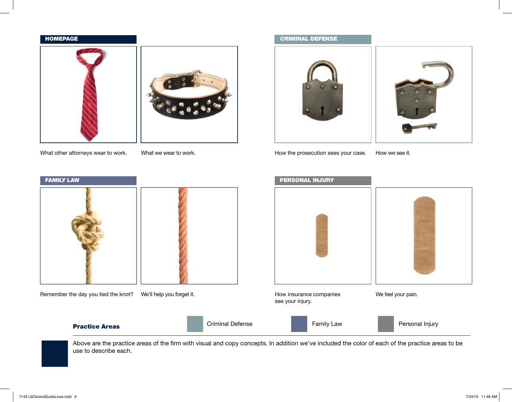#### **HOMEPAGE**



What other attorneys wear to work.

What we wear to work.

# criminal defense



How the prosecution sees your case.

How we see it.



Above are the practice areas of the firm with visual and copy concepts. In addition we've included the color of each of the practice areas to be use to describe each.